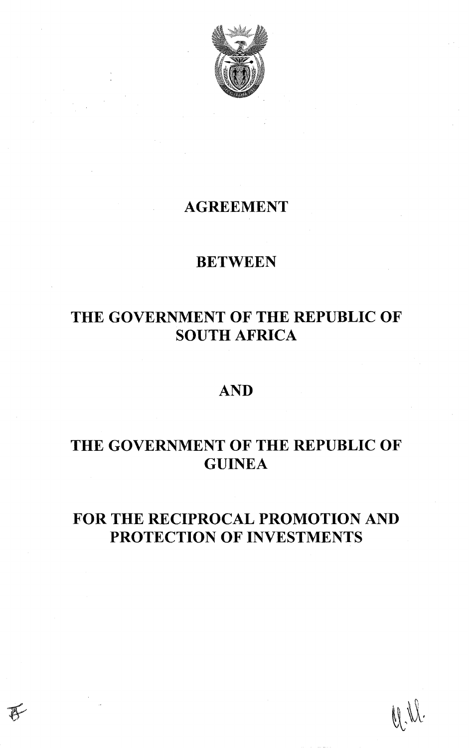

## AGREEMENT

## **BETWEEN**

## THE GOVERNMENT OF THE REPUBLIC OF SOUTH AFRICA

## AND

# THE GOVERNMENT OF THE REPUBLIC OF **GUINEA**

## FOR THE RECIPROCAL PROMOTION AND PROTECTION OF INVESTMENTS

U.W.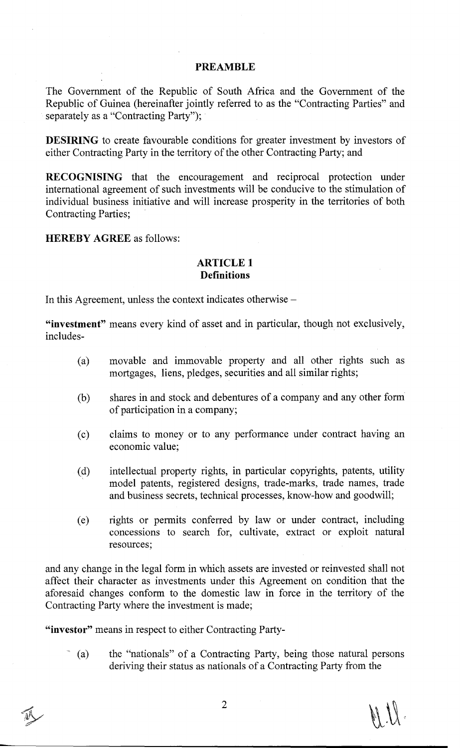#### **PREAMBLE**

The Government of the Republic of South Africa and the Government of the Republic of Guinea (hereinafter jointly referred to as the "Contracting Parties" and separately as a "Contracting Party");

**DESIRING** to create favourable conditions for greater investment by investors of either Contracting Party in the territory of the other Contracting Party; and

**RECOGNISING** that the encouragement and reciprocal protection under international agreement of such investments will be conducive to the stimulation of individual business initiative and will increase prosperity in the territories of both Contracting Parties;

**HEREBY AGREE** as follows:

#### **ARTICLE 1 Definitions**

In this Agreement, unless the context indicates otherwise –

**"investment"** means every kind of asset and in particular, though not exclusively, includes-

- (a) movable and immovable property and all other rights such as mortgages, liens, pledges, securities and all similar rights;
- (b) shares in and stock and debentures of a company and any other form of participation in a company;
- (c) claims to money or to any performance under contract having an economic value;
- (d) intellectual property rights, in particular copyrights, patents, utility model patents, registered designs, trade-marks, trade names, trade and business secrets, technical processes, know-how and goodwill;
- (e) rights or permits conferred by law or under contract, including concessions to search for, cultivate, extract or exploit natural resources;

and any change in the legal form in which assets are invested or reinvested shall not affect their character as investments under this Agreement on condition that the aforesaid changes conform to the domestic law in force in the territory of the Contracting Party where the investment is made;

**"investor"** means in respect to either Contracting Party-

(a) the "nationals" of a Contracting Party, being those natural persons deriving their status as nationals of a Contracting Party from the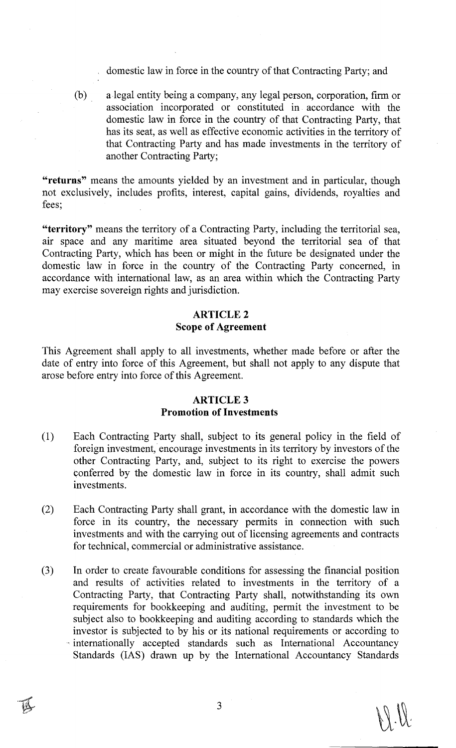domestic law in force in the country of that Contracting Party; and

(b) a legal entity being a company, any legal person, corporation, firm or association incorporated or constituted in accordance with the domestic law in force in the country of that Contracting Party, that has its seat, as well as effective economic activities in the territory of that Contracting Party and has made investments in the territory of another Contracting Party;

**"returns"** means the amounts yielded by an investment and in particular, though not exclusively, includes profits, interest, capital gains, dividends, royalties and fees;

**"territory"** means the territory of a Contracting Party, including the territorial sea, air space and any maritime area situated beyond the territorial sea of that Contracting Party, which has been or might in the future be designated under the domestic law in force in the country of the Contracting Party concerned, in accordance with international law, as an area within which the Contracting Party may exercise sovereign rights and jurisdiction.

## **ARTICLE2 Scope of Agreement**

This Agreement shall apply to all investments, whether made before or after the date of entry into force of this Agreement, but shall not apply to any dispute that arose before entry into force of this Agreement.

## **ARTICLE3 Promotion of Investments**

- (1) Each Contracting Party shall, subject to its general policy in the field of foreign investment, encourage investments in its territory by investors of the other Contracting Party, and, subject to its right to exercise the powers conferred by the domestic law in force in its country, shall admit such investments.
- (2) Each Contracting Party shall grant, in accordance with the domestic law in force in its country, the necessary permits in connection with such investments and with the carrying out of licensing agreements and contracts for technical, commercial or administrative assistance.
- (3) In order to create favourable conditions for assessing the financial position and results of activities related to investments in the territory of a Contracting Party, that Contracting Party shall, notwithstanding its own requirements for bookkeeping and auditing, permit the investment to be subject also to bookkeeping and auditing according to standards which the investor is subjected to by his or its national requirements or according to - internationally accepted standards such as International Accountancy Standards (lAS) drawn up by the International Accountancy Standards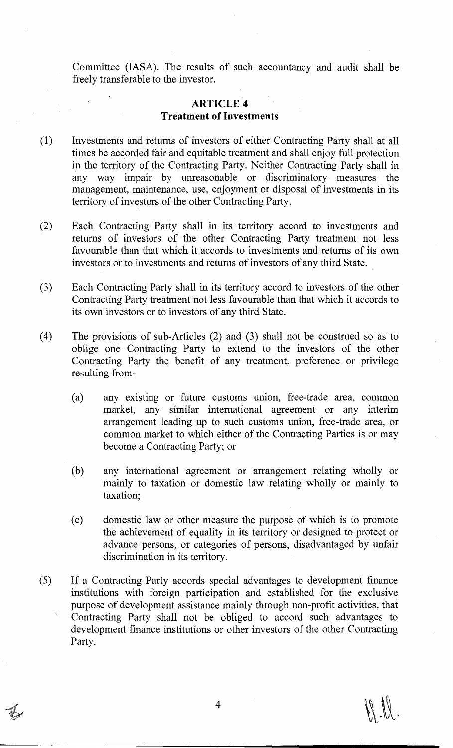Committee (IASA). The results of such accountancy and audit shall be freely transferable to the investor.

## **ARTICLE4 Treatment of Investments**

- (1) Investments and returns of investors of either Contracting Party shall at all times be accorded fair and equitable treatment and shall enjoy full protection in the territory of the Contracting Party. Neither Contracting Party shall in any way impair by unreasonable or discriminatory measures the management, maintenance, use, enjoyment or disposal of investments in its territory of investors of the other Contracting Party.
- (2) Each Contracting Party shall in its territory accord to investments and returns of investors of the other Contracting Party treatment not less favourable than that which it accords to investments and returns of its own investors or to investments and returns of investors of any third State.
- (3) Each Contracting Party shall in its territory accord to investors of the other Contracting Party treatment not less favourable than that which it accords to its own investors or to investors of any third State.
- ( 4) The provisions of sub-Articles (2) and (3) shall not be construed so as to oblige one Contracting Party to extend to the investors of the other Contracting Party the benefit of any treatment, preference or privilege resulting from-
	- (a) any existing or future customs union, free-trade area, common market, any similar international agreement or any interim arrangement leading up to such customs union, free-trade area, or common market to which either of the Contracting Parties is or may become a Contracting Party; or
	- (b) any international agreement or arrangement relating wholly or mainly to taxation or domestic law relating wholly or mainly to taxation;
	- (c) domestic law or other measure the purpose of which is to promote the achievement of equality in its territory or designed to protect or advance persons, or categories of persons, disadvantaged by unfair discrimination in its territory.
- (5) If a Contracting Party accords special advantages to development finance institutions with foreign participation and established for the exclusive purpose of development assistance mainly through non-profit activities, that Contracting Party shall not be obliged to accord such advantages to development finance institutions or other investors of the other Contracting Party.

 $\mathcal{A}$   $\mathcal{A}$ .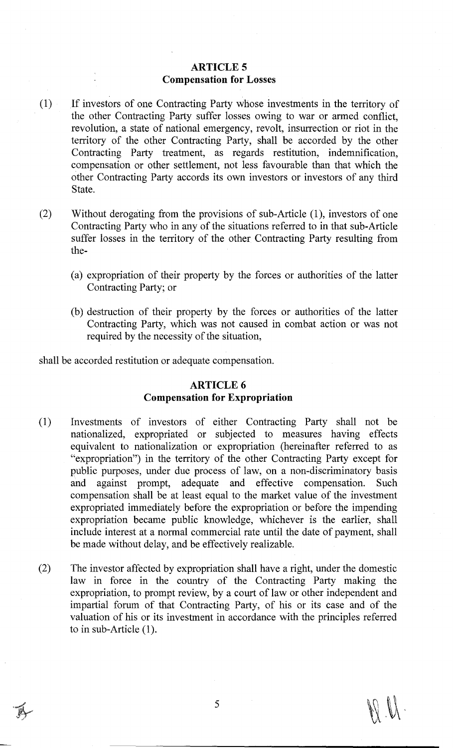### **ARTICLE 5 Compensation for** Losses

- (1) If investors of one Contracting Party whose investments in the territory of the other Contracting Party suffer losses owing to war or armed conflict, revolution, a state of national emergency, revolt, insurrection or riot in the territory of the other Contracting Party, shall be accorded by the other Contracting Party treatment, as regards restitution, indemnification, compensation or other settlement, not less favourable than that which the other Contracting Party accords its own investors or investors of any third State.
- (2) Without derogating from the provisions of sub-Article  $(1)$ , investors of one Contracting Party who in any of the situations referred to in that sub-Article suffer losses in the territory of the other Contracting Party resulting from the-
	- (a) expropriation of their property by the forces or authorities of the latter Contracting Party; or
	- (b) destruction of their property by the forces or authorities of the latter Contracting Party, which was not caused in combat action or was not required by the necessity of the situation,

shall be accorded restitution or adequate compensation.

#### **ARTICLE 6**

## **Compensation for Expropriation**

- (1) Investments of investors of either Contracting Party shall not be nationalized, expropriated or subjected to measures having effects equivalent to nationalization or expropriation (hereinafter referred to as "expropriation") in the territory of the other Contracting Party except for public purposes, under due process of law, on a non-discriminatory basis and against prompt, adequate and effective compensation. Such compensation shall be at least equal to the market value of the investment expropriated immediately before the expropriation or before the impending expropriation became public knowledge, whichever is the earlier, shall include interest at a normal commercial rate until the date of payment, shall be made without delay, and be effectively realizable.
- (2) The investor affected by expropriation shall have a right, under the domestic law in force in the country of the Contracting Party making the expropriation, to prompt review, by a court of law or other independent and impartial forum of that Contracting Party, of his or its case and of the valuation of his or its investment in accordance with the principles referred to in sub-Article (1).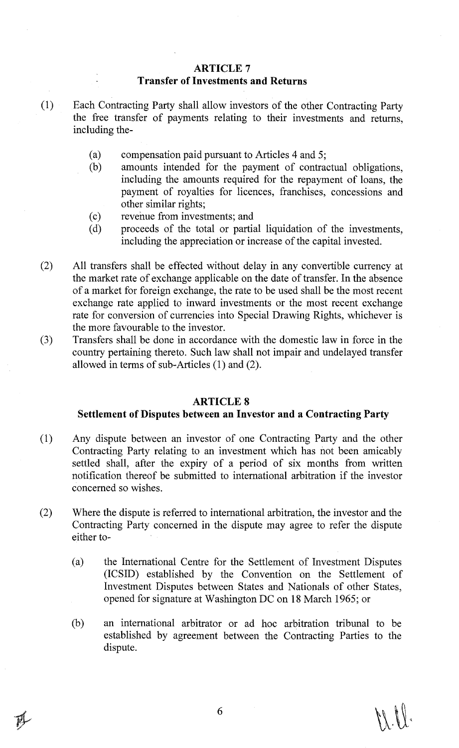## **ARTICLE7 Transfer of Investments and Returns**

- (1) Each Contracting Party shall allow investors of the other Contracting Party the free transfer of payments relating to their investments and returns, including the-
	- (a) compensation paid pursuant to Articles 4 and 5;<br>(b) amounts intended for the payment of contra
	- amounts intended for the payment of contractual obligations, including the amounts required for the repayment of loans, the payment of royalties for licences, franchises, concessions and other similar rights;
	- (c) revenue from investments; and
	- (d) proceeds of the total or partial liquidation of the investments, including the appreciation or increase of the capital invested.
- (2) All transfers shall be effected without delay in any convertible currency at the market rate of exchange applicable on the date of transfer. In the absence of a market for foreign exchange, the rate to be used shall be the most recent exchange rate applied to inward investments or the most recent exchange rate for conversion of currencies into Special Drawing Rights, whichever is the more favourable to the investor.
- (3) Transfers shall be done in accordance with the domestic law in force in the country pertaining thereto. Such law shall not impair and undelayed transfer allowed in terms of sub-Articles (1) and (2).

#### **ARTICLES**

#### **Settlement of Disputes between an Investor and a Contracting Party**

- (1) Any dispute between an investor of one Contracting Party and the other Contracting Party relating to an investment which has not been amicably settled shall, after the expiry of a period of six months from written notification thereof be submitted to international arbitration if the investor concerned so wishes.
- (2) Where the dispute is referred to international arbitration, the investor and the Contracting Party concerned in the dispute may agree to refer the dispute either to-
	- (a) the International Centre for the Settlement of Investment Disputes (ICSID) established by the Convention on the Settlement of Investment Disputes between States and Nationals of other States, opened for signature at Washington DC on 18 March 1965; or
	- (b) an international arbitrator or ad hoc arbitration tribunal to be established by agreement between the Contracting Parties to the dispute.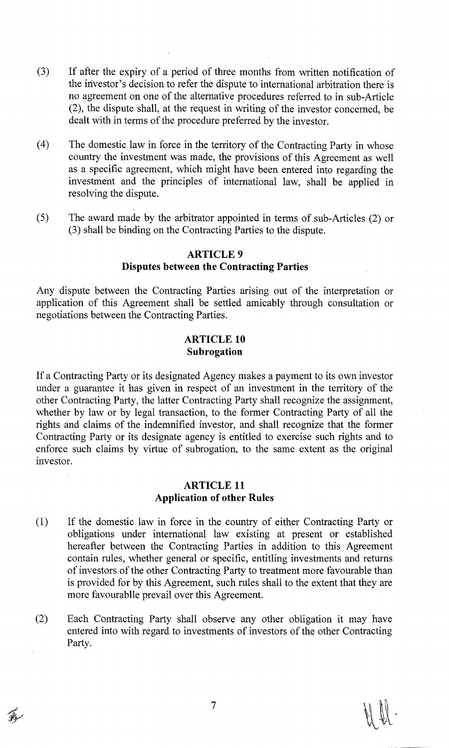- (3) If after the expiry of a period of three months from written notification of the investor's decision to refer the dispute to international arbitration there is no agreement on one of the alternative procedures referred to in sub-Article (2), the dispute shall, at the request in writing of the investor concerned, be dealt with in terms of the procedure preferred by the investor.
- ( 4) The domestic law in force in the territory of the Contracting Party in whose country the investment was made, the provisions of this Agreement as well as a specific agreement, which might have been entered into regarding the investment and the principles of international law, shall be applied in resolving the dispute.
- (5) The award made by the arbitrator appointed in terms of sub-Articles (2) or (3) shall be binding on the Contracting Parties to the dispute.

### **ARTICLE9**

### **Disputes between the Contracting Parties**

Any dispute between the Contracting Parties arising out of the interpretation or application of this Agreement shall be settled amicably through consultation or negotiations between the Contracting Parties.

## **ARTICLE 10 Subrogation**

If a Contracting Party or its designated Agency makes a payment to its own investor under a guarantee it has given in respect of an investment in the territory of the other Contracting Party, the latter Contracting Party shall recognize the assignment, whether by law or by legal transaction, to the former Contracting Party of all the rights and claims of the indemnified investor, and shall recognize that the former Contracting Party or its designate agency is entitled to exercise such rights and to enforce such claims by virtue of subrogation, to the same extent as the original investor.

## **ARTICLE 11 Application of other Rules**

- (1) If the domestic law in force in the country of either Contracting Party or obligations under international law existing at present or established hereafter between the Contracting Parties in addition to this Agreement contain rules, whether general or specific, entitling investments and returns of investors of the other Contracting Party to treatment more favourable than is provided for by this Agreement, such rules shall to the extent that they are more favourablle prevail over this Agreement.
- (2) Each Contracting Party shall observe any other obligation it may have entered into with regard to investments of investors of the other Contracting Party.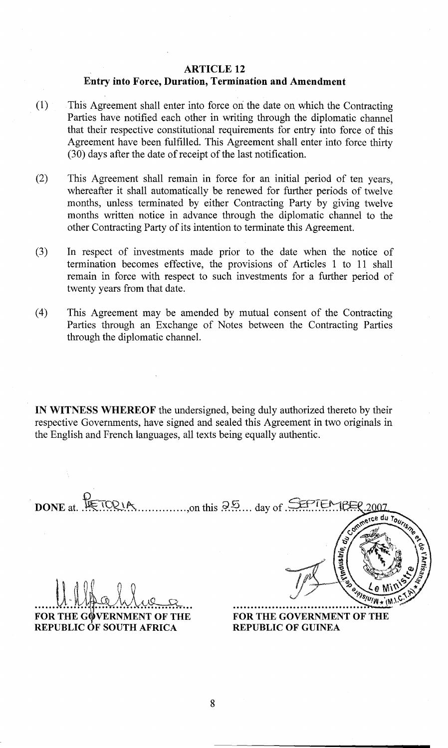## ARTICLE 12

## Entry into Force, Duration, Termination and Amendment

- ( 1) This Agreement shall enter into force ori the date on which the Contracting Parties have notified each other in writing through the diplomatic channel that their respective constitutional requirements for entry into force of this Agreement have been fulfilled. This Agreement shall enter into force thirty (30) days after the date of receipt of the last notification.
- (2) This Agreement shall remain in force for an initial period of ten years, whereafter it shall automatically be renewed for further periods of twelve months, unless terminated by either Contracting Party by giving twelve months written notice in advance through the diplomatic channel to the other Contracting Party of its intention to terminate this Agreement.
- (3) In respect of investments made prior to the date when the notice of termination becomes effective, the provisions of Articles 1 to 11 shall remain in force with respect to such investments for a further period of twenty years from that date.
- (4) This Agreement may be amended by mutual consent of the Contracting Parties through an Exchange of Notes between the Contracting Parties through the diplomatic channel.

IN WITNESS WHEREOF the undersigned, being duly authorized thereto by their respective Governments, have signed and sealed this Agreement in two originals in the English and French languages, all texts being equally authentic .

DONE at RETORIA merce du Tourisme FOR THE GOVERNMENT OF THE FOR THE GOVERNMENT OF THE REPUBLIC OF SOUTH AFRICA REPUBLIC OF GUINEA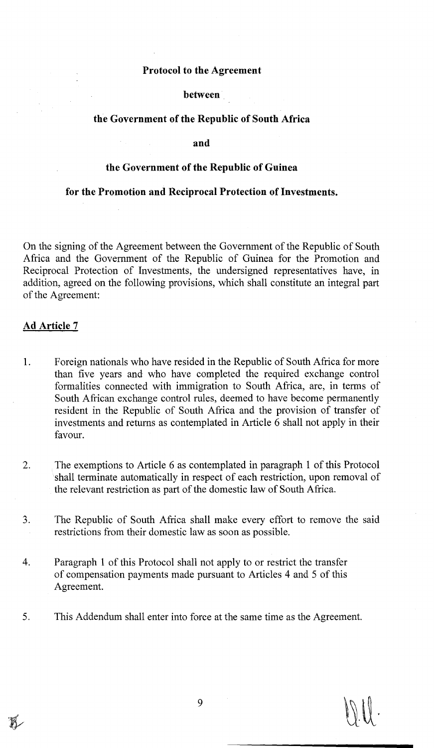#### **Protocol to the Agreement**

#### **between**

### **the Government of the Republic of South Africa**

**and** 

#### **the Government of the Republic of Guinea**

#### **for the Promotion and Reciprocal Protection of Investments.**

On the signing of the Agreement between the Government of the Republic of South Africa and the Government of the Republic of Guinea for the Promotion and Reciprocal Protection of Investments, the undersigned representatives have, in addition, agreed on the following provisions, which shall constitute an integral part of the Agreement:

#### **Ad Article 7**

- 1. Foreign nationals who have resided in the Republic of South Africa for more than five years and who have completed the required exchange control formalities connected with immigration to South Africa, are, in terms of South African exchange control rules, deemed to have become permanently resident in the Republic of South Africa and the provision of transfer of investments and returns as contemplated in Article 6 shall not apply in their favour.
- 2. The exemptions to Article 6 as contemplated in paragraph 1 of this Protocol shall terminate automatically in respect of each restriction, upon removal of the relevant restriction as part of the domestic law of South Africa.
- 3. The Republic of South Africa shall make every effort to remove the said restrictions from their domestic law as soon as possible.
- 4. Paragraph 1 of this Protocol shall not apply to or restrict the transfer of compensation payments made pursuant to Articles 4 and 5 of this Agreement.
- 5. This Addendum shall enter into force at the same time as the Agreement.